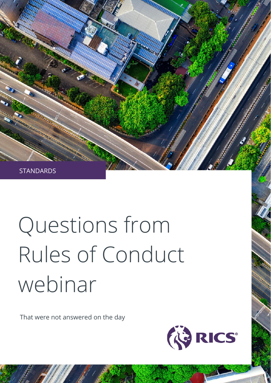

## Questions from Rules of Conduct webinar

That were not answered on the day

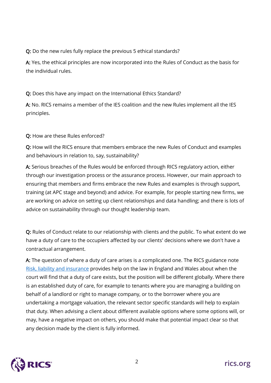## Q: Do the new rules fully replace the previous 5 ethical standards?

A: Yes, the ethical principles are now incorporated into the Rules of Conduct as the basis for the individual rules.

## Q: Does this have any impact on the International Ethics Standard?

A: No. RICS remains a member of the IES coalition and the new Rules implement all the IES principles.

## Q: How are these Rules enforced?

Q: How will the RICS ensure that members embrace the new Rules of Conduct and examples and behaviours in relation to, say, sustainability?

A: Serious breaches of the Rules would be enforced through RICS regulatory action, either through our investigation process or the assurance process. However, our main approach to ensuring that members and firms embrace the new Rules and examples is through support, training (at APC stage and beyond) and advice. For example, for people starting new firms, we are working on advice on setting up client relationships and data handling; and there is lots of advice on sustainability through our thought leadership team.

Q: Rules of Conduct relate to our relationship with clients and the public. To what extent do we have a duty of care to the occupiers affected by our clients' decisions where we don't have a contractual arrangement.

A: The question of where a duty of care arises is a complicated one. The RICS guidance note [Risk, liability and insurance](https://www.rics.org/uk/upholding-professional-standards/standards-of-conduct/risk-liability-and-insurance/) provides help on the law in England and Wales about when the court will find that a duty of care exists, but the position will be different globally. Where there is an established duty of care, for example to tenants where you are managing a building on behalf of a landlord or right to manage company, or to the borrower where you are undertaking a mortgage valuation, the relevant sector specific standards will help to explain that duty. When advising a client about different available options where some options will, or may, have a negative impact on others, you should make that potential impact clear so that any decision made by the client is fully informed.

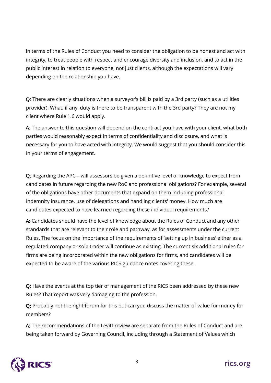In terms of the Rules of Conduct you need to consider the obligation to be honest and act with integrity, to treat people with respect and encourage diversity and inclusion, and to act in the public interest in relation to everyone, not just clients, although the expectations will vary depending on the relationship you have.

Q: There are clearly situations when a surveyor's bill is paid by a 3rd party (such as a utilities provider). What, if any, duty is there to be transparent with the 3rd party? They are not my client where Rule 1.6 would apply.

A: The answer to this question will depend on the contract you have with your client, what both parties would reasonably expect in terms of confidentiality and disclosure, and what is necessary for you to have acted with integrity. We would suggest that you should consider this in your terms of engagement.

Q: Regarding the APC – will assessors be given a definitive level of knowledge to expect from candidates in future regarding the new RoC and professional obligations? For example, several of the obligations have other documents that expand on them including professional indemnity insurance, use of delegations and handling clients' money. How much are candidates expected to have learned regarding these individual requirements?

A: Candidates should have the level of knowledge about the Rules of Conduct and any other standards that are relevant to their role and pathway, as for assessments under the current Rules. The focus on the importance of the requirements of 'setting up in business' either as a regulated company or sole trader will continue as existing. The current six additional rules for firms are being incorporated within the new obligations for firms, and candidates will be expected to be aware of the various RICS guidance notes covering these.

Q: Have the events at the top tier of management of the RICS been addressed by these new Rules? That report was very damaging to the profession.

Q: Probably not the right forum for this but can you discuss the matter of value for money for members?

A: The recommendations of the Levitt review are separate from the Rules of Conduct and are being taken forward by Governing Council, including through a Statement of Values which

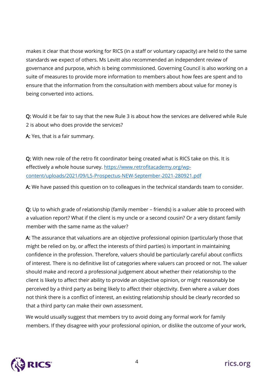makes it clear that those working for RICS (in a staff or voluntary capacity) are held to the same standards we expect of others. Ms Levitt also recommended an independent review of governance and purpose, which is being commissioned. Governing Council is also working on a suite of measures to provide more information to members about how fees are spent and to ensure that the information from the consultation with members about value for money is being converted into actions.

Q: Would it be fair to say that the new Rule 3 is about how the services are delivered while Rule 2 is about who does provide the services?

A: Yes, that is a fair summary.

Q: With new role of the retro fit coordinator being created what is RICS take on this. It is effectively a whole house survey. [https://www.retrofitacademy.org/wp](https://www.retrofitacademy.org/wp-content/uploads/2021/09/L5-Prospectus-NEW-September-2021-280921.pdf)[content/uploads/2021/09/L5-Prospectus-NEW-September-2021-280921.pdf](https://www.retrofitacademy.org/wp-content/uploads/2021/09/L5-Prospectus-NEW-September-2021-280921.pdf)

A: We have passed this question on to colleagues in the technical standards team to consider.

Q: Up to which grade of relationship (family member – friends) is a valuer able to proceed with a valuation report? What if the client is my uncle or a second cousin? Or a very distant family member with the same name as the valuer?

A: The assurance that valuations are an objective professional opinion (particularly those that might be relied on by, or affect the interests of third parties) is important in maintaining confidence in the profession. Therefore, valuers should be particularly careful about conflicts of interest. There is no definitive list of categories where valuers can proceed or not. The valuer should make and record a professional judgement about whether their relationship to the client is likely to affect their ability to provide an objective opinion, or might reasonably be perceived by a third party as being likely to affect their objectivity. Even where a valuer does not think there is a conflict of interest, an existing relationship should be clearly recorded so that a third party can make their own assessment.

We would usually suggest that members try to avoid doing any formal work for family members. If they disagree with your professional opinion, or dislike the outcome of your work,